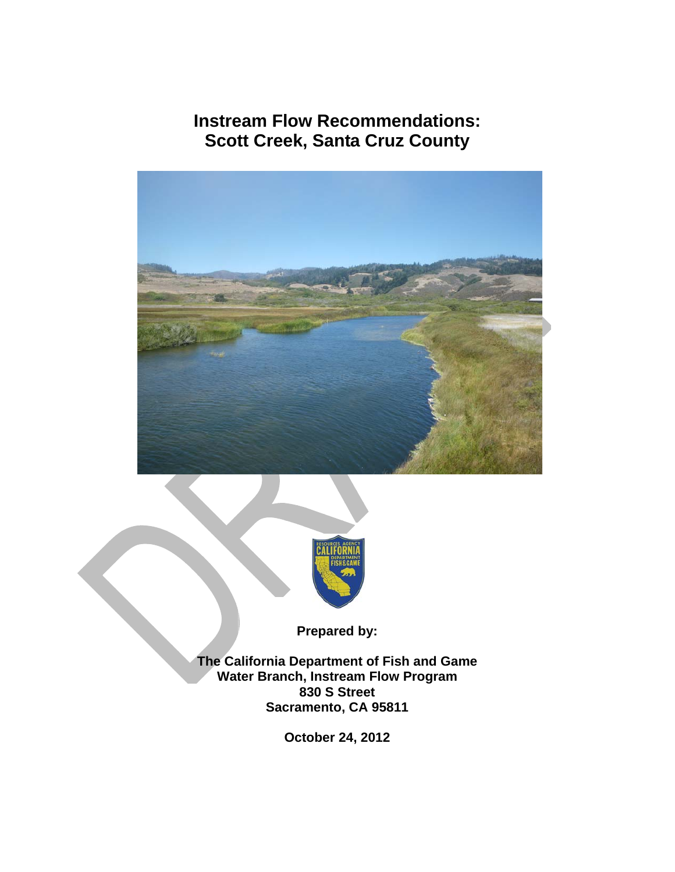**Instream Flow Recommendations: Scott Creek, Santa Cruz County** 





**Prepared by:** 

**The California Department of Fish and Game Water Branch, Instream Flow Program 830 S Street Sacramento, CA 95811** 

**October 24, 2012**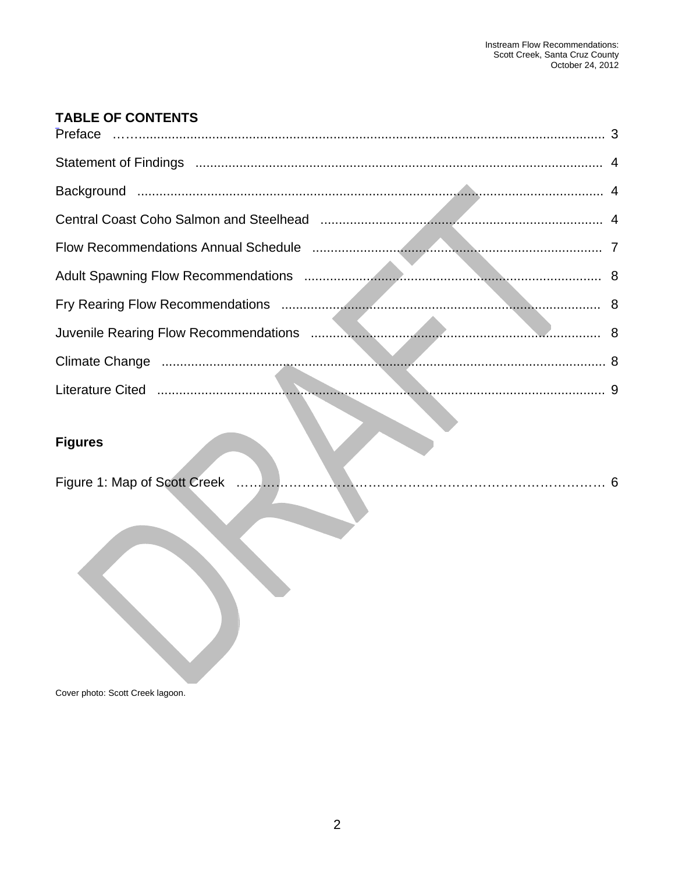# TABLE OF CONTENTS

| <b>Figures</b> |  |
|----------------|--|
|                |  |
|                |  |

Cover photo: Scott Creek lagoon.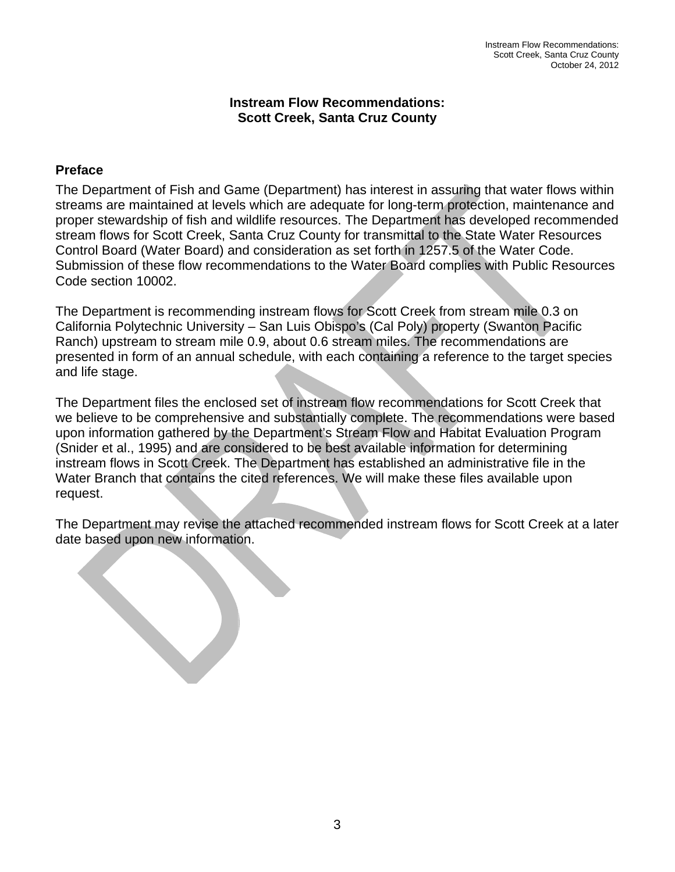#### **Instream Flow Recommendations: Scott Creek, Santa Cruz County**

#### <span id="page-2-0"></span>**Preface**

The Department of Fish and Game (Department) has interest in assuring that water flows within streams are maintained at levels which are adequate for long-term protection, maintenance and proper stewardship of fish and wildlife resources. The Department has developed recommended stream flows for Scott Creek, Santa Cruz County for transmittal to the State Water Resources Control Board (Water Board) and consideration as set forth in 1257.5 of the Water Code. Submission of these flow recommendations to the Water Board complies with Public Resources Code section 10002.

The Department is recommending instream flows for Scott Creek from stream mile 0.3 on California Polytechnic University – San Luis Obispo's (Cal Poly) property (Swanton Pacific Ranch) upstream to stream mile 0.9, about 0.6 stream miles. The recommendations are presented in form of an annual schedule, with each containing a reference to the target species and life stage.

The Department files the enclosed set of instream flow recommendations for Scott Creek that we believe to be comprehensive and substantially complete. The recommendations were based upon information gathered by the Department's Stream Flow and Habitat Evaluation Program (Snider et al., 1995) and are considered to be best available information for determining instream flows in Scott Creek. The Department has established an administrative file in the Water Branch that contains the cited references. We will make these files available upon request.

The Department may revise the attached recommended instream flows for Scott Creek at a later date based upon new information.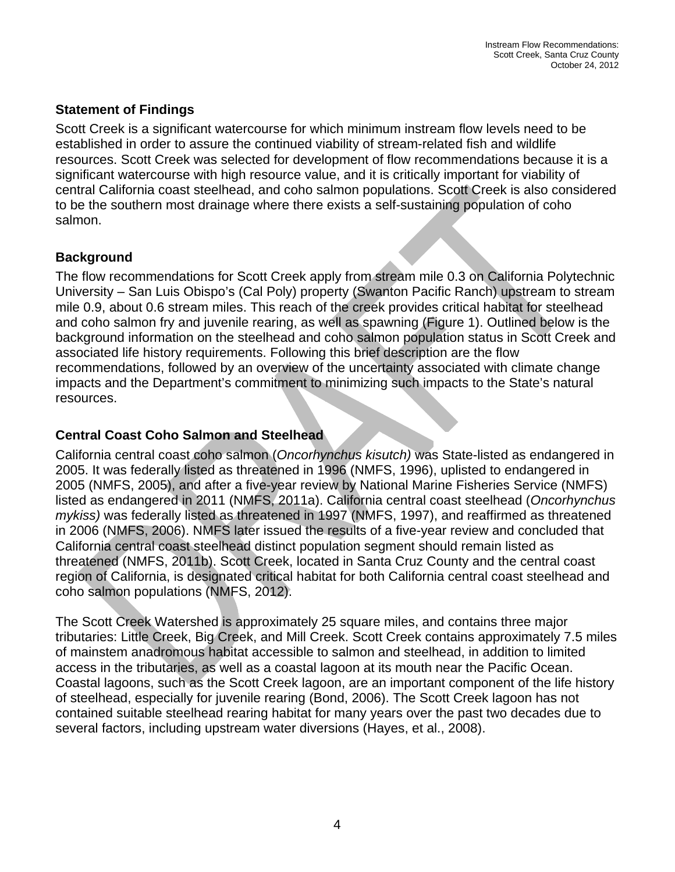### <span id="page-3-0"></span>**Statement of Findings**

Scott Creek is a significant watercourse for which minimum instream flow levels need to be established in order to assure the continued viability of stream-related fish and wildlife resources. Scott Creek was selected for development of flow recommendations because it is a significant watercourse with high resource value, and it is critically important for viability of central California coast steelhead, and coho salmon populations. Scott Creek is also considered to be the southern most drainage where there exists a self-sustaining population of coho salmon.

# **Background**

The flow recommendations for Scott Creek apply from stream mile 0.3 on California Polytechnic University – San Luis Obispo's (Cal Poly) property (Swanton Pacific Ranch) upstream to stream mile 0.9, about 0.6 stream miles. This reach of the creek provides critical habitat for steelhead and coho salmon fry and juvenile rearing, as well as spawning (Figure 1). Outlined below is the background information on the steelhead and coho salmon population status in Scott Creek and associated life history requirements. Following this brief description are the flow recommendations, followed by an overview of the uncertainty associated with climate change impacts and the Department's commitment to minimizing such impacts to the State's natural resources.

# **Central Coast Coho Salmon and Steelhead**

California central coast coho salmon (*Oncorhynchus kisutch)* was State-listed as endangered in 2005. It was federally listed as threatened in 1996 (NMFS, 1996), uplisted to endangered in 2005 (NMFS, 2005), and after a five-year review by National Marine Fisheries Service (NMFS) listed as endangered in 2011 (NMFS, 2011a). California central coast steelhead (*Oncorhynchus mykiss)* was federally listed as threatened in 1997 (NMFS, 1997), and reaffirmed as threatened in 2006 (NMFS, 2006). NMFS later issued the results of a five-year review and concluded that California central coast steelhead distinct population segment should remain listed as threatened (NMFS, 2011b). Scott Creek, located in Santa Cruz County and the central coast region of California, is designated critical habitat for both California central coast steelhead and coho salmon populations (NMFS, 2012).

The Scott Creek Watershed is approximately 25 square miles, and contains three major tributaries: Little Creek, Big Creek, and Mill Creek. Scott Creek contains approximately 7.5 miles of mainstem anadromous habitat accessible to salmon and steelhead, in addition to limited access in the tributaries, as well as a coastal lagoon at its mouth near the Pacific Ocean. Coastal lagoons, such as the Scott Creek lagoon, are an important component of the life history of steelhead, especially for juvenile rearing (Bond, 2006). The Scott Creek lagoon has not contained suitable steelhead rearing habitat for many years over the past two decades due to several factors, including upstream water diversions (Hayes, et al., 2008).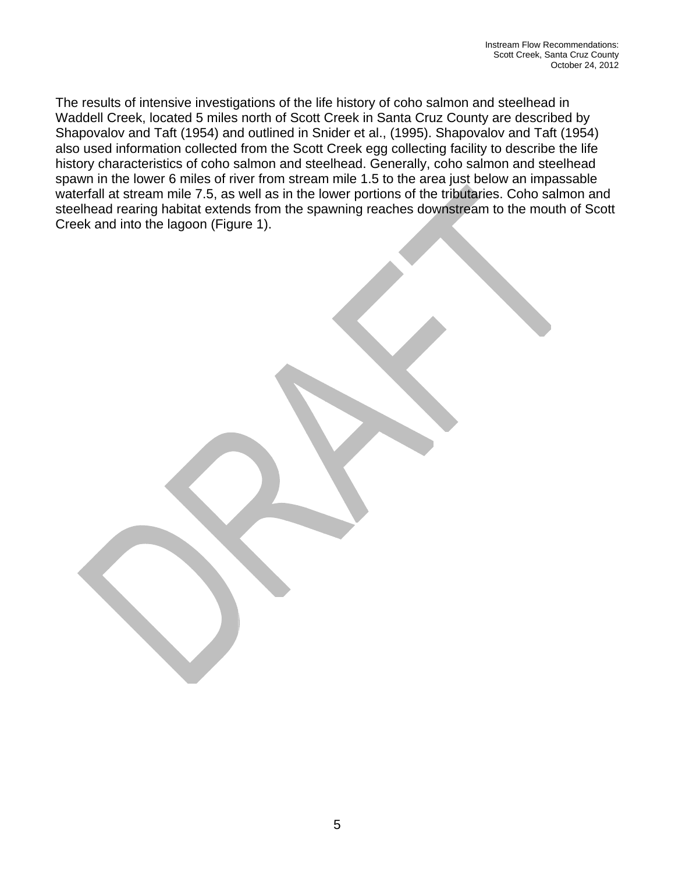The results of intensive investigations of the life history of coho salmon and steelhead in Waddell Creek, located 5 miles north of Scott Creek in Santa Cruz County are described by Shapovalov and Taft (1954) and outlined in Snider et al., (1995). Shapovalov and Taft (1954) also used information collected from the Scott Creek egg collecting facility to describe the life history characteristics of coho salmon and steelhead. Generally, coho salmon and steelhead spawn in the lower 6 miles of river from stream mile 1.5 to the area just below an impassable waterfall at stream mile 7.5, as well as in the lower portions of the tributaries. Coho salmon and steelhead rearing habitat extends from the spawning reaches downstream to the mouth of Scott Creek and into the lagoon (Figure 1).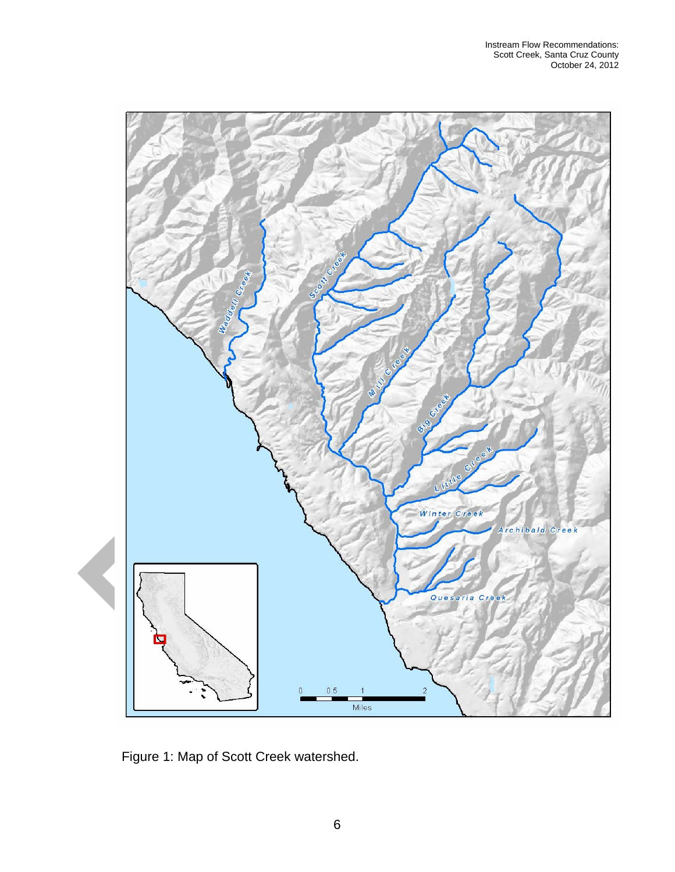<span id="page-5-0"></span>

Figure 1: Map of Scott Creek watershed.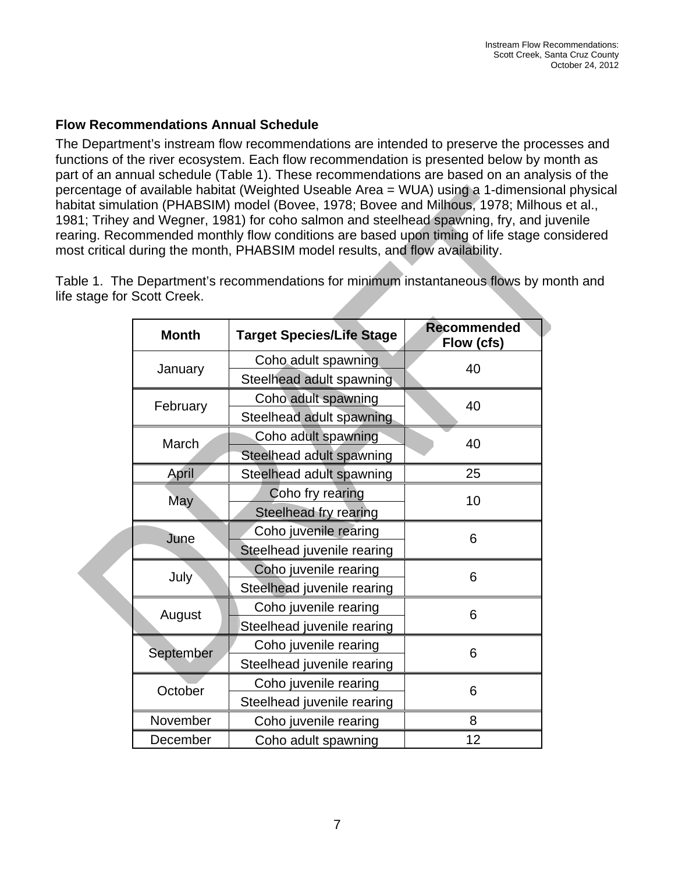#### <span id="page-6-0"></span>**Flow Recommendations Annual Schedule**

The Department's instream flow recommendations are intended to preserve the processes and functions of the river ecosystem. Each flow recommendation is presented below by month as part of an annual schedule (Table 1). These recommendations are based on an analysis of the percentage of available habitat (Weighted Useable Area = WUA) using a 1-dimensional physical habitat simulation (PHABSIM) model (Bovee, 1978; Bovee and Milhous, 1978; Milhous et al., 1981; Trihey and Wegner, 1981) for coho salmon and steelhead spawning, fry, and juvenile rearing. Recommended monthly flow conditions are based upon timing of life stage considered most critical during the month, PHABSIM model results, and flow availability.

Table 1. The Department's recommendations for minimum instantaneous flows by month and life stage for Scott Creek.

| <b>Month</b> | <b>Target Species/Life Stage</b> | <b>Recommended</b><br>Flow (cfs) |
|--------------|----------------------------------|----------------------------------|
| January      | Coho adult spawning              | 40                               |
|              | Steelhead adult spawning         |                                  |
| February     | Coho adult spawning              | 40                               |
|              | Steelhead adult spawning         |                                  |
| March        | Coho adult spawning              | 40                               |
|              | Steelhead adult spawning         |                                  |
| <b>April</b> | Steelhead adult spawning         | 25                               |
| <b>May</b>   | Coho fry rearing                 | 10                               |
|              | Steelhead fry rearing            |                                  |
| June         | Coho juvenile rearing            | 6                                |
|              | Steelhead juvenile rearing       |                                  |
| July         | Coho juvenile rearing            | 6                                |
|              | Steelhead juvenile rearing       |                                  |
| August       | Coho juvenile rearing            | 6                                |
|              | Steelhead juvenile rearing       |                                  |
| September    | Coho juvenile rearing            | 6                                |
|              | Steelhead juvenile rearing       |                                  |
| October      | Coho juvenile rearing            | 6                                |
|              | Steelhead juvenile rearing       |                                  |
| November     | Coho juvenile rearing            | 8                                |
| December     | Coho adult spawning              | 12                               |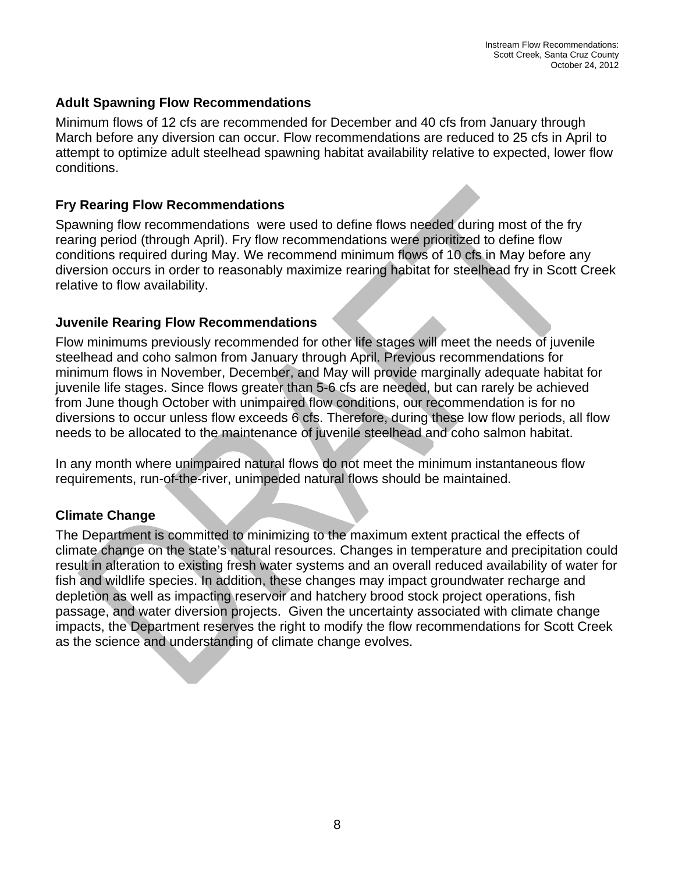### <span id="page-7-0"></span>**Adult Spawning Flow Recommendations**

Minimum flows of 12 cfs are recommended for December and 40 cfs from January through March before any diversion can occur. Flow recommendations are reduced to 25 cfs in April to attempt to optimize adult steelhead spawning habitat availability relative to expected, lower flow conditions.

### **Fry Rearing Flow Recommendations**

Spawning flow recommendations were used to define flows needed during most of the fry rearing period (through April). Fry flow recommendations were prioritized to define flow conditions required during May. We recommend minimum flows of 10 cfs in May before any diversion occurs in order to reasonably maximize rearing habitat for steelhead fry in Scott Creek relative to flow availability.

#### **Juvenile Rearing Flow Recommendations**

Flow minimums previously recommended for other life stages will meet the needs of juvenile steelhead and coho salmon from January through April. Previous recommendations for minimum flows in November, December, and May will provide marginally adequate habitat for juvenile life stages. Since flows greater than 5-6 cfs are needed, but can rarely be achieved from June though October with unimpaired flow conditions, our recommendation is for no diversions to occur unless flow exceeds 6 cfs. Therefore, during these low flow periods, all flow needs to be allocated to the maintenance of juvenile steelhead and coho salmon habitat.

In any month where unimpaired natural flows do not meet the minimum instantaneous flow requirements, run-of-the-river, unimpeded natural flows should be maintained.

# **Climate Change**

The Department is committed to minimizing to the maximum extent practical the effects of climate change on the state's natural resources. Changes in temperature and precipitation could result in alteration to existing fresh water systems and an overall reduced availability of water for fish and wildlife species. In addition, these changes may impact groundwater recharge and depletion as well as impacting reservoir and hatchery brood stock project operations, fish passage, and water diversion projects. Given the uncertainty associated with climate change impacts, the Department reserves the right to modify the flow recommendations for Scott Creek as the science and understanding of climate change evolves.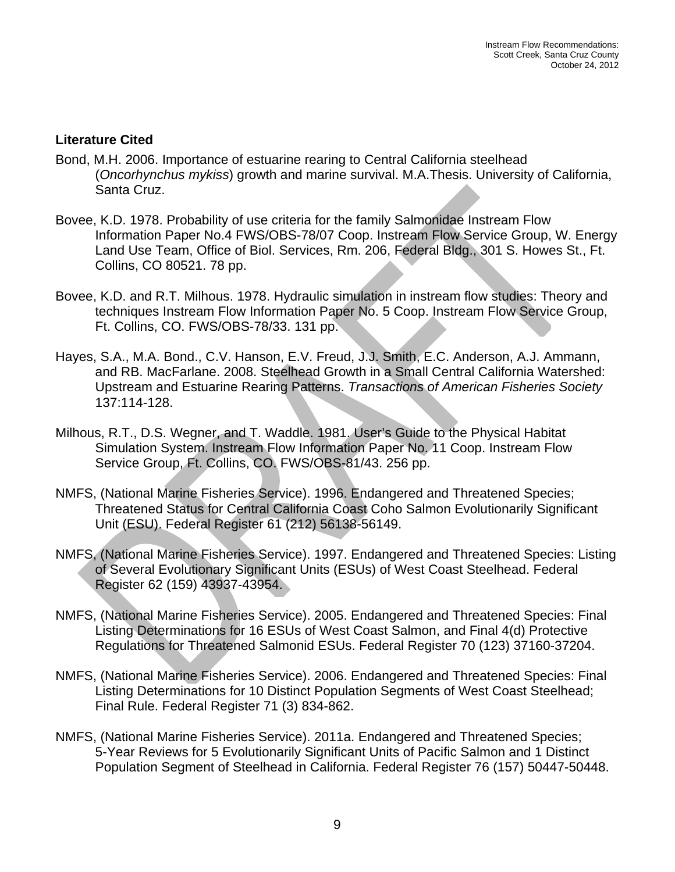#### <span id="page-8-0"></span>**Literature Cited**

- Bond, M.H. 2006. Importance of estuarine rearing to Central California steelhead (*Oncorhynchus mykiss*) growth and marine survival. M.A.Thesis. University of California, Santa Cruz.
- Bovee, K.D. 1978. Probability of use criteria for the family Salmonidae Instream Flow Information Paper No.4 FWS/OBS-78/07 Coop. Instream Flow Service Group, W. Energy Land Use Team, Office of Biol. Services, Rm. 206, Federal Bldg., 301 S. Howes St., Ft. Collins, CO 80521. 78 pp.
- Bovee, K.D. and R.T. Milhous. 1978. Hydraulic simulation in instream flow studies: Theory and techniques Instream Flow Information Paper No. 5 Coop. Instream Flow Service Group, Ft. Collins, CO. FWS/OBS-78/33. 131 pp.
- Hayes, S.A., M.A. Bond., C.V. Hanson, E.V. Freud, J.J. Smith, E.C. Anderson, A.J. Ammann, and RB. MacFarlane. 2008. Steelhead Growth in a Small Central California Watershed: Upstream and Estuarine Rearing Patterns. *Transactions of American Fisheries Society* 137:114-128.
- Milhous, R.T., D.S. Wegner, and T. Waddle. 1981. User's Guide to the Physical Habitat Simulation System. Instream Flow Information Paper No. 11 Coop. Instream Flow Service Group, Ft. Collins, CO. FWS/OBS-81/43. 256 pp.
- NMFS, (National Marine Fisheries Service). 1996. Endangered and Threatened Species; Threatened Status for Central California Coast Coho Salmon Evolutionarily Significant Unit (ESU). Federal Register 61 (212) 56138-56149.
- NMFS, (National Marine Fisheries Service). 1997. Endangered and Threatened Species: Listing of Several Evolutionary Significant Units (ESUs) of West Coast Steelhead. Federal Register 62 (159) 43937-43954.
- NMFS, (National Marine Fisheries Service). 2005. Endangered and Threatened Species: Final Listing Determinations for 16 ESUs of West Coast Salmon, and Final 4(d) Protective Regulations for Threatened Salmonid ESUs. Federal Register 70 (123) 37160-37204.
- NMFS, (National Marine Fisheries Service). 2006. Endangered and Threatened Species: Final Listing Determinations for 10 Distinct Population Segments of West Coast Steelhead; Final Rule. Federal Register 71 (3) 834-862.
- NMFS, (National Marine Fisheries Service). 2011a. Endangered and Threatened Species; 5-Year Reviews for 5 Evolutionarily Significant Units of Pacific Salmon and 1 Distinct Population Segment of Steelhead in California. Federal Register 76 (157) 50447-50448.